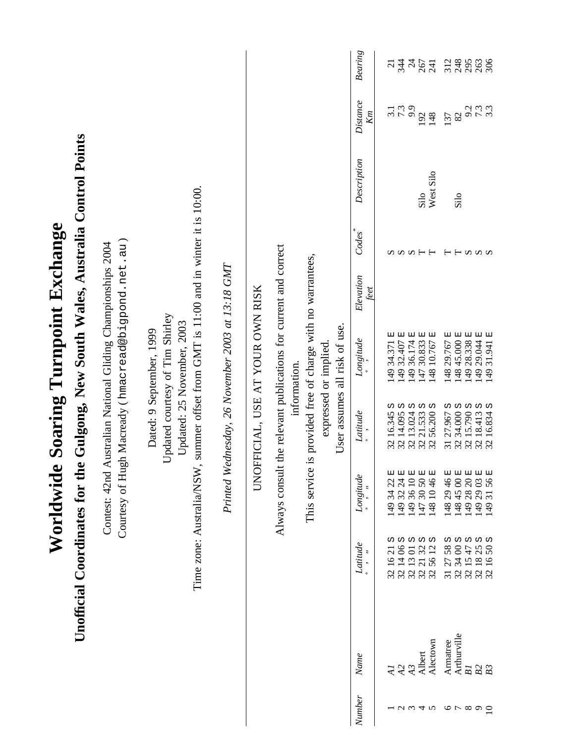|               |                      |                                                                                   | Worldwide                  |                                     | <b>Soaring Turnpoint Exchange</b>                                                                                                                            |                   |                  |             |                |                       |
|---------------|----------------------|-----------------------------------------------------------------------------------|----------------------------|-------------------------------------|--------------------------------------------------------------------------------------------------------------------------------------------------------------|-------------------|------------------|-------------|----------------|-----------------------|
|               |                      | Unofficial Coordinates for the Gulgong, New South Wales, Australia Control Points |                            |                                     |                                                                                                                                                              |                   |                  |             |                |                       |
|               |                      |                                                                                   | Contest: 42nd              |                                     | Courtesy of Hugh Macready (hmacread@bigpond.net.au)<br>Australian National Gliding Championships 2004                                                        |                   |                  |             |                |                       |
|               |                      | Time zone: Australia/NSW                                                          | $\ddot{\phantom{0}}$       |                                     | summer offset from GMT is $11:00$ and in winter it is $10:00$ .<br>Updated courtesy of Tim Shirley<br>Updated: 25 November, 2003<br>Dated: 9 September, 1999 |                   |                  |             |                |                       |
|               |                      |                                                                                   |                            |                                     | Printed Wednesday, 26 November 2003 at 13:18 GMT                                                                                                             |                   |                  |             |                |                       |
|               |                      |                                                                                   | <b>UNO</b>                 |                                     | FFICIAL, USE AT YOUR OWN RISK                                                                                                                                |                   |                  |             |                |                       |
|               |                      |                                                                                   | Always consult             |                                     | the relevant publications for current and correct<br>information.                                                                                            |                   |                  |             |                |                       |
|               |                      |                                                                                   |                            |                                     | This service is provided free of charge with no warrantees,                                                                                                  |                   |                  |             |                |                       |
|               |                      |                                                                                   |                            |                                     | User assumes all risk of use.<br>expressed or implied                                                                                                        |                   |                  |             |                |                       |
| Number        | Name                 | Latitude                                                                          | Longiude                   | $\label{eq:1} Laitude$              | Longitude                                                                                                                                                    | Elevation<br>teet | Codes            | Description | Distance<br>Kт | <b>Bearing</b>        |
|               | $\overline{A}$       | w<br>$\overline{c}$<br>3216                                                       | 囸<br>22<br>14934           | ω<br>32 16.345                      | 囸<br>149 34.371                                                                                                                                              |                   | s                |             | 3.1            | $\overline{c}$        |
|               | A2                   | ω ω<br>32 14 06                                                                   | 149 32 24 E                | ω<br>32 14.095 :<br>32 13.024 :     | 49 32.407 E                                                                                                                                                  |                   |                  |             | 7.3            | 344                   |
| $U \omega 4$  | Albert<br>A3         | 2132<br>32 13 01                                                                  | 149 36 10 E<br>147 30 50 E | Ω<br>ω<br>21.533                    | 国<br>国<br>49 36.174<br>147 30.833                                                                                                                            |                   | $\cup \cup \cup$ | Silo        | 192            | $\overline{z}$<br>267 |
|               | Alectown             | ω ω<br>12<br>56<br>32                                                             | 148 10 46 E                | 56.200 S<br>32                      | 国<br>48 10.767                                                                                                                                               |                   |                  | West Silo   | 148            | 241                   |
| $\circ$       | Armatree             | 2758<br>$\overline{31}$                                                           | 148 29 46 E                | S<br>31 27.967                      | 148 29.767 E                                                                                                                                                 |                   | ⊢                |             | 137            | 312                   |
| $\sim \infty$ | Arthurville          | ທ ທ ທ<br>32 34 00                                                                 | 148 45 00 E                | S<br>34.000<br>32                   | 48 45.000 E                                                                                                                                                  |                   | $\sim$ $-1$      | Silo        | $82\,$         | 248                   |
|               | B1                   | 32 15 47                                                                          | 149 28 20 E                | 15.790 <sub>S</sub>                 | 49 28.338 E                                                                                                                                                  |                   |                  |             | 9.2            |                       |
| $\circ$ 0     | B <sub>3</sub><br>B2 | ω ω<br>1825<br>$50\,$<br>16<br>321                                                | 149 29 03 E<br>149 31 56 E | $18.4135$<br>$16.8345$<br>32 18.413 | 149 29.044 E<br>149 31.941 E                                                                                                                                 |                   | <b>S</b>         |             | 3.3<br>د ک     | 306<br>263            |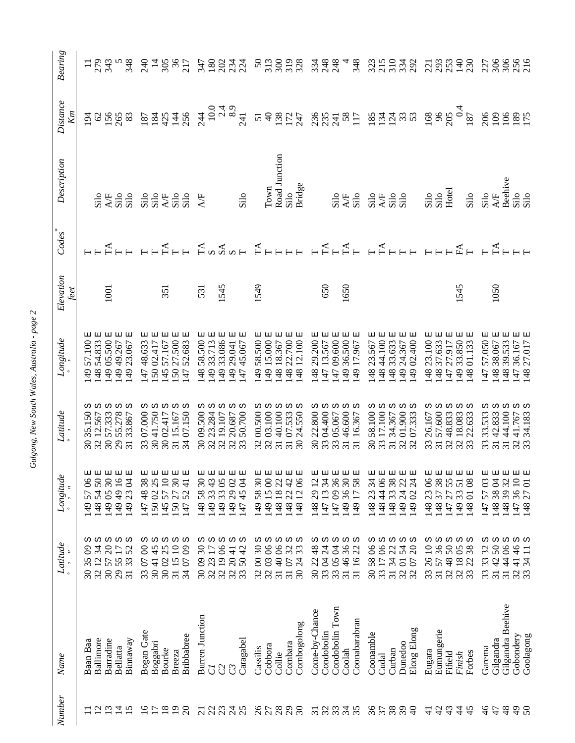| ı<br>č<br>Ï            |
|------------------------|
| $\sim$ 1.4 $\sim$      |
| مدامة<br>ŗ             |
| <br>ì                  |
|                        |
| $\sim$ 0.3 $\sim$<br>ı |

| <b>Bearing</b>                    | 279<br>548<br>$\equiv$                                                                                                                                                  | $305$<br>$71$<br>$\approx$<br>$\vec{a}$                                                               | *****                                                                                                                                                              | 319<br>$\boldsymbol{S}$<br>313<br>300                                                                                                 | 33<br>333<br>348                                                                                                                                                      | $\frac{23}{210}$<br>332                                                                                                           | 221<br>253<br>230                                                                                                               | 306<br>225<br>306<br>227                                                                                                                      |
|-----------------------------------|-------------------------------------------------------------------------------------------------------------------------------------------------------------------------|-------------------------------------------------------------------------------------------------------|--------------------------------------------------------------------------------------------------------------------------------------------------------------------|---------------------------------------------------------------------------------------------------------------------------------------|-----------------------------------------------------------------------------------------------------------------------------------------------------------------------|-----------------------------------------------------------------------------------------------------------------------------------|---------------------------------------------------------------------------------------------------------------------------------|-----------------------------------------------------------------------------------------------------------------------------------------------|
| <b>Distance</b><br>$\mathbb{K}$ m | 8888<br>$\overline{5}$                                                                                                                                                  | 224748                                                                                                | $10.0$<br>$2.4$<br>$8.9$<br>$241$<br>24                                                                                                                            | 543277                                                                                                                                | SSSH SH SHARS                                                                                                                                                         |                                                                                                                                   | $\frac{168}{96}$<br>205<br>187<br>187                                                                                           | 889827                                                                                                                                        |
| Description                       | $345$<br>$459$<br>$319$                                                                                                                                                 |                                                                                                       | Silo<br><b>A</b> F                                                                                                                                                 | Road Junction<br>Bridge<br>Town<br>Silo                                                                                               | Silo<br>Silo                                                                                                                                                          | $345$<br>$453$<br>$310$                                                                                                           | $\frac{310}{310}$<br>Silo                                                                                                       | <b>Beehive</b><br>Silo<br>Silo<br>$\frac{\text{Silo}}{\text{AF}}$                                                                             |
| Codes                             | $F + F$                                                                                                                                                                 | $F + F$                                                                                               | $A \times 2$                                                                                                                                                       |                                                                                                                                       |                                                                                                                                                                       | HHHHH HHHHH HHHHHH                                                                                                                |                                                                                                                                 | $F^{\mathbf{A}}$                                                                                                                              |
| Elevation<br>feet                 | 1001                                                                                                                                                                    | 351                                                                                                   | 545<br>531                                                                                                                                                         | 1549                                                                                                                                  | 1650<br>650                                                                                                                                                           |                                                                                                                                   | 545                                                                                                                             | 1050                                                                                                                                          |
| $\label{eq:congit} Longitude$     | 囯<br>54.833<br>57.100<br>49 05.500<br>49 49.267<br>23.067<br>$\overline{49}$<br>148<br>$\overline{6}$                                                                   | 4748.633<br>50 27.500<br>52.683<br>50 02.417<br>57.167<br>$\overline{45}$<br>$\ddot{4}$               | 더<br>58.500<br>33.713<br>33.086<br>45.067<br>29.041<br>47<br>49<br>$\frac{48}{5}$<br>49<br>49                                                                      | 58.500<br>49 15.000<br>48 18.367<br>48 22.700<br>48 12.100<br>$\frac{49}{5}$                                                          | 47 09.600 E<br>29.200<br>36.500<br>47 13.567<br>17.967<br>$\frac{49}{ }$<br>49<br>48                                                                                  | 48 44.100<br>33.633<br>23.567<br>49 02.400<br>24.367<br>48<br>48<br>49                                                            | 23.100 :<br>37.633 :<br>01.133<br>33.850<br>27.917<br>148<br>148<br>49<br>48<br>$\overline{47}$                                 | 더<br>57.050<br>48 39.533<br>38.067<br>36.167<br>27.017<br>148<br> 47<br>47<br>$\frac{48}{5}$                                                  |
| $Laitiude$                        | Ω<br>ω<br>35.150<br>57.333<br>55.278<br>12.567<br>33.867<br>$\overline{32}$<br>$\overline{\omega}$<br>29<br>$\overline{31}$<br>$\mathcal{S}$                            | ω ω<br>33 07.000<br>30 41.750<br>34 07.150<br>30 02.417<br>31 15.167                                  | w<br>w<br>30 09.500<br>50.700<br>23.284<br>19.107<br>20.687<br>32<br>32<br>33                                                                                      | C)<br>ω<br>00.500<br>03.100<br>24.550<br>40.100<br>07.533<br>$\overline{30}$<br>32<br>$\overline{31}$<br>$\overline{31}$              | w<br>ω<br>22.800<br>04.400<br>46.600<br>05.067<br>16.367<br>33<br>$\overline{30}$<br>33<br>$\overline{31}$<br>$\overline{31}$                                         | Ω<br>ω<br>ω<br>58.100<br>17.100<br>01.900<br>07.333<br>34.367<br>$\overline{30}$<br>33<br>32<br>$\overline{31}$                   | ω<br>ω,<br>Ω<br>57.600<br>22.633<br>48.833<br>18.083<br>26.167<br>33<br>33 <sub>1</sub><br>$32\,$<br>32                         | ω<br>ω<br>33.533<br>42.833<br>44.100<br>34.183<br>41.767<br>$\overline{31}$<br>33<br>$\overline{31}$<br>$\frac{2}{3}$                         |
| Longitude                         | 30E<br>50E<br>$\overline{16}$<br>$90\,$<br>149 23 04<br>14949<br>14854<br>14905<br>57<br>149                                                                            | 30E<br>$\begin{array}{c} 1 \end{array}$<br>38<br>1475241<br>14748<br>14557<br>15027                   | $\overline{30}$<br>43<br><b>Z</b><br>149 33 05<br>149 29 02<br>14745<br>33<br>58<br>$\overline{49}$<br>148                                                         | $\mathfrak{S}$<br>$\infty$<br>$\mathfrak{L}$<br>$\infty$<br>42<br>148 18<br>14958<br>14915<br>14812                                   | 36E<br>149 36 30 E<br>34<br>$\overline{c}$<br>58<br>14709<br>14829<br>14713<br>149 17                                                                                 | $38\,$<br>34<br>$\infty$<br>23<br>14833<br>14823<br>149 24<br>149 02<br>14844                                                     | 38<br>$\delta$<br>55<br>$\overline{51}$<br>$\infty$<br>14801<br>237<br>33<br>27<br>149<br>148<br>148<br>147                     | 32<br>5703<br>38 04<br>$\overline{10}$<br>$\overline{c}$<br>$\frac{36}{27}$<br>14839<br>148<br>147<br>147<br>148                              |
| Latitude<br>$\circ$               | ω ω ω<br>ω ω<br>$\mathfrak{F}$<br>$\Omega$<br>52<br>$\infty$<br>$\overline{17}$<br>55<br>3212<br>35<br>30 57<br>33<br>29<br>$\overline{31}$<br>$\overline{\mathcal{E}}$ | ω ω<br>ω<br>ω ω<br>$\infty$<br>$\Box$<br>$\infty$<br>45<br>25<br>3115<br>3307<br>3407<br>3041<br>3002 | <b>ω ω ω ω</b><br>$\overline{30}$<br>$8^{\circ}$<br>$\overline{17}$<br>$\overline{c}$<br>32 20 41<br>$\boxed{9}$<br>$\mathfrak{L}$<br>3009<br>50<br>$32^{2}$<br>33 | <b>www.or</b><br>$\mathfrak{S}$<br>$\delta$<br>31 40 06<br>32<br>33<br>$\otimes$<br>3203<br>3107<br>$\overline{z}$<br>$\overline{30}$ | <b>ω ω ω ω</b><br>36<br>$\frac{8}{3}$<br>33 05 04<br>$\overline{z}$<br>$\mathfrak{L}$<br>3146<br>22<br>$\overline{16}$<br>33 04<br>30 <sub>1</sub><br>$\overline{31}$ | ω ω ω<br>ω ω<br>8 <sup>o</sup><br>22<br>54<br>$\Omega$<br>$8^{\circ}$<br>3134<br>$\frac{58}{17}$<br>3207<br>$\overline{30}$<br>33 | <b>ω ω ω ω</b><br>36<br>$\delta$<br>$\Xi$<br>$50\,$<br>38<br>$18\,$<br>$rac{26}{57}$<br>48<br>22<br>32<br>33 <sub>1</sub><br>33 | ω ω<br>ω<br>ω ω<br>$50\,$<br>3144 06<br>$\mathfrak{L}$<br>$\frac{6}{4}$<br>$\Xi$<br>33<br>3142<br>$\mathfrak{F}$<br>$\frac{1}{4}$<br>33<br>33 |
| Name                              | Barradine<br>Binnaway<br>Ballimore<br>Baan Baa<br>Bellatta                                                                                                              | Bogan Gate<br>Bribbabree<br>Boggabri<br>Bourke<br>Breeza                                              | Burren Junction<br>Caragabel<br>C<br>C3<br>U                                                                                                                       | Combogolong<br>Combara<br>Cobbora<br>Cassilis<br>Collie                                                                               | Condobolin Town<br>Come-by-Chance<br>Coonabarabran<br>Condobolin<br>Coolah                                                                                            | Elong Elong<br>Coonamble<br>Dunedoo<br>Curban<br>Cudal                                                                            | Eumungerie<br>Eugara<br>Forbes<br>Fifield<br>Finish                                                                             | Gilgandra Beehive<br>Gobondery<br>Goolagong<br>Gilgandra<br>Garema                                                                            |
| Number                            | $\omega$<br>$\tilde{\mathcal{L}}$<br>ব                                                                                                                                  | $\overline{c}$<br>$\sim$<br>$\frac{8}{19}$                                                            | 2342<br>$\overline{c}$                                                                                                                                             | 26<br>28888                                                                                                                           | 28, 24, 24<br>$\overline{31}$                                                                                                                                         | <b>screen</b>                                                                                                                     | $\frac{1}{4}$<br>43<br>45<br>$\frac{4}{3}$<br>$\frac{1}{4}$                                                                     | 46<br>48<br>47<br>$\frac{9}{4}$<br>50                                                                                                         |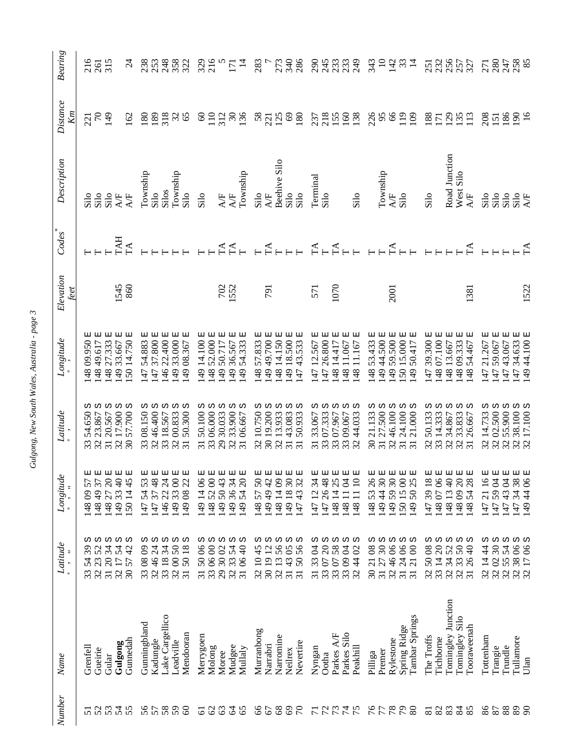| Number                | Name                           | Latitude                                                                                              | Longitude                                                               | Latitude                                                      | $\label{eq:cong} Longitude$            | Elevation<br>feet | Codes      | Description                      | <b>Distance</b><br>Кm         | <b>Bearing</b>   |
|-----------------------|--------------------------------|-------------------------------------------------------------------------------------------------------|-------------------------------------------------------------------------|---------------------------------------------------------------|----------------------------------------|-------------------|------------|----------------------------------|-------------------------------|------------------|
| 52<br>$\overline{51}$ | Grenfell<br>Gueirie            | ω ω ω<br>52<br>39<br>23<br>54<br>32<br>33                                                             | ロ<br>囸<br>57<br>57<br>14849<br>$\infty$<br>148                          | Ω<br>w<br>54.650<br>23.867<br>32<br>33                        | 国<br>더<br>09.950<br>148 49.617<br>48   |                   |            | Silo<br>Silo                     | $\mathcal{L}$<br>221          | 216<br>261       |
| 53                    | Gular                          | 34<br>3120                                                                                            | 国<br>$\overline{\Omega}$<br>14827                                       | w<br>20.567<br>$\overline{31}$                                | 国<br>27.333<br>48                      |                   |            | Silo                             | 149                           | 315              |
| 54                    | Gulgong                        | ω ω<br>54<br>32 17<br>30 57                                                                           | 40 E<br>149 33.                                                         | ω ω<br>17.900<br>$\overline{32}$                              | 티<br>33.667<br>49                      | 1545<br>860       | TAH        | AÆ                               |                               |                  |
| 55                    | Gunnedah                       | 42                                                                                                    | 回<br>45<br>150 14                                                       | 57.700<br>$\overline{30}$                                     | 보<br>50 14.750                         |                   | $\Gamma$ A | AÆ                               | $\overline{2}$                | र्व              |
| 56                    | Gunningbland                   | $\infty$                                                                                              | 国<br>53<br>147                                                          | w<br>08.150                                                   | 54.883<br>47                           |                   |            | Township                         | $\frac{80}{2}$                | 238              |
| 57                    | Kadungle                       | ω ω<br>$\overline{2}$<br>33 08<br>32 46<br>33 18                                                      | 国<br>48<br>54<br>147                                                    | w<br>46.400<br>32                                             | 더 더<br>37.800<br>$\overline{47}$       |                   |            | Silo                             | 189                           | 253              |
| 58                    | Lake Cargellico                | Ω<br>34                                                                                               | 国<br>$\overline{c}$<br>14622                                            | 18.567<br>33                                                  | 囸<br>22.400<br>$\frac{46}{5}$          |                   |            | Silos                            | 318                           | 248              |
| 59                    | Leadville                      | ω ω<br>50<br>$\infty$<br>$\frac{32}{31}$                                                              | 国<br>$\infty$<br>33<br>149                                              | ω<br>00.833<br>32                                             | 囸<br>33.000<br>149                     |                   |            | Township                         | $\Im$                         | 358              |
| $\infty$              | Mendooran                      | $\overline{18}$<br>50                                                                                 | 囸<br>22<br>14908                                                        | ω<br>50.300<br>$\overline{31}$                                | 囸<br>08.367<br>49                      |                   |            | Silo                             | 65                            | 322              |
| 61                    | Merrygoen                      | w<br>$8^{\circ}$<br>$50\,$<br>$\frac{31}{33}$                                                         | 囸<br>8 <sup>o</sup><br>$\overline{4}$<br>149                            | ω<br>50.100<br>$\overline{31}$                                | 囸<br>14.100<br>$\frac{49}{5}$          |                   |            | Silo                             | $\circledcirc$                | 329              |
| 62                    | Molong                         | 0600                                                                                                  | 티<br>$\infty$<br>52<br>148                                              | w<br>06.000<br>33                                             | 티<br>52.000<br>48                      |                   |            |                                  | $\overline{110}$              | 216              |
| 63                    | Moree                          | 3002<br>29                                                                                            | 国<br>43<br>50<br>149                                                    | w<br>30.033<br>29                                             | 보<br>50.717<br>49                      | 702<br>1552       | Ã          | AÆ                               | 312                           |                  |
| $\mathcal{L}$         | Mudgee                         | ທ ທ ທ ທ<br>54<br>33<br>32                                                                             | 囸<br>$\mathcal{Z}$<br>36<br>149                                         | w<br>33.900<br>$\overline{32}$                                | 回<br>36.567<br>49                      |                   | $F_{F}$    | <b>A/F</b>                       | $\frac{30}{2}$                | $\overline{171}$ |
| 65                    | Mullaly                        | $\Theta$<br>3106                                                                                      | 囸<br>$\Omega$<br>$\overline{5}$<br>149.                                 | S<br>06.667<br>$\overline{31}$                                | 囸<br>54.333<br>149                     |                   |            | Township                         | 136                           | $\overline{4}$   |
| 66                    | Murranbong                     | 45<br>$\supseteq$<br>$\frac{32}{30}$                                                                  | 囸<br>$50\,$<br>57<br>148                                                | ω<br>10.750<br>$\overline{32}$                                | ロ<br>57.833<br> 48                     |                   |            | Silo                             | $58$<br>221                   | 283              |
| 67                    | Narrabri                       | ω ω<br>$\overline{c}$<br>$\overline{1}$                                                               | 囸<br>42<br>49<br>149                                                    | ω<br>19.200<br>$\overline{30}$                                | 티<br>49.700<br>49                      | <b>164</b>        | $\Gamma$ A | <b>A/F</b>                       |                               |                  |
| $68\,$                | Narromine                      | 56<br>$13\,$<br>32                                                                                    | 티<br>$\infty$<br>14814                                                  | ω<br>13.933<br>$\overline{32}$                                | 囸<br>48 14.150                         |                   |            | Beehive Silo                     | 125                           | 273              |
| 69                    | Neilrex                        | ω ω ω<br>$\delta$<br>3143                                                                             | 国<br>$\mathfrak{S}$<br>14918                                            | 43.083<br>$\overline{31}$                                     | ᄗ<br>49 18.500                         |                   | $\Box$     | Silo                             | 69                            | 340              |
| $\sqrt{2}$            | Nevertire                      | 56<br>50<br>$\overline{31}$                                                                           | 国<br>32<br>14743                                                        | ω<br>50.933<br>$\overline{31}$                                | 티<br>43.533<br>47                      |                   |            | Silo                             | 180                           | 286              |
| $\overline{7}$        | Nyngan                         | $\beta$<br>33<br>$\overline{31}$                                                                      | 囸<br>$\overline{34}$<br>14712                                           | ω<br>33.067<br>$\overline{31}$                                | ロ<br>47 12.567                         | 571               | $\Gamma$   | Terminal                         | 237                           | 290              |
| 72                    | Ootha                          | ω ω ω<br>$\Omega$                                                                                     | 国<br>48<br>26<br>147                                                    | ω<br>07.333<br>33                                             | 티<br>26,800<br>47                      |                   | $\vdash$   | Silo                             | 218                           | 245              |
|                       | Parkes A/F                     | 58                                                                                                    | 囸<br>25<br>$\overline{4}$<br>148                                        | ω<br>07.967<br>33                                             | 囸<br>14.417<br>48                      | 1070              | $\Gamma$ A |                                  |                               | 233              |
| 74                    | Parkes Silo                    | ω<br>Ω<br>Å<br>$\infty$<br>3307<br>3307<br>3304                                                       | 囸<br>보<br>$\beta$<br>$\overline{10}$<br>148 11<br>$\overline{1}$<br>148 | Ω<br>44.033<br>09.067<br>33                                   | 티<br>囸<br>11.067<br>48<br>48           |                   |            |                                  | 1580                          | 233              |
| 75                    | Peakhill                       |                                                                                                       |                                                                         | 32                                                            | 11.167                                 |                   |            | Silo                             |                               | 249              |
| 76                    | Pilliga                        | w<br>$80^{\circ}$<br>$\overline{21}$<br>$\overline{\mathcal{E}}$                                      | 囸<br>$\delta$<br>14853                                                  | w<br>21.133<br>$\overline{\mathcal{E}}$                       | 더<br>53.433<br>148                     |                   |            |                                  | 226                           | 343              |
| 77                    | Premer                         | $\overline{\mathcal{E}}$<br>27<br>$\overline{31}$                                                     | 30 E<br>14944                                                           | ω<br>27.500<br>$\overline{31}$                                | 国<br>44.500<br>149                     |                   |            | Township                         | 95                            | $\Xi$            |
| 78                    | Rylestone                      | 8<br>$\frac{4}{6}$<br>32                                                                              | $30E$<br>59<br>149                                                      | w<br>46.100<br>32                                             | 回<br>59.500<br>49                      | 2001              | $\Gamma$   | <b>A/F</b>                       | 66                            | 142              |
| $80^{8}$              | Tambar Springs<br>Spring Ridge | <b>ω ω ω ω</b><br>8 <sup>o</sup><br>$\infty$<br>$\overline{24}$<br>$\overline{21}$<br>$\overline{31}$ | 国<br>回<br>$\infty$<br>25<br>150 15<br>50<br>149                         | ω ω<br>21.000<br>24.100<br>$\overline{31}$<br>$\overline{31}$ | 国<br>囸<br>15.000<br>50.417<br>50<br>49 |                   |            | Silo                             | $\overline{119}$<br>$\approx$ | $\frac{2}{3}$    |
|                       |                                |                                                                                                       |                                                                         |                                                               |                                        |                   |            |                                  |                               |                  |
| $\overline{81}$       | The Troffs                     | ω ω<br>$_{08}$<br>$50\,$                                                                              | 回<br>$\overline{18}$<br>39<br>147                                       | ω<br>50.133<br>33                                             | 囸<br>39.300<br>$\ddot{t}$              |                   |            | Silo                             | 188                           | 251              |
| 82                    | Tichborne                      | $\Omega$<br>$\overline{1}$                                                                            | 06 E<br>$\Omega$<br>148                                                 | 14.333                                                        | 囸<br>07.100<br>48                      |                   |            |                                  | 171                           | 232              |
| 83                    | Tomingley Junction             | Ω<br>52<br>34                                                                                         | 148 13 40 E                                                             | ω<br>34.867<br>$\overline{32}$                                | 囸<br>48 13.667                         |                   |            | Road Junction                    | $\overline{29}$               | 256              |
| 84<br>85              | Tomingley Silo<br>Tooraweenah  | ω ω<br>50<br>$\overline{40}$<br>33<br>26<br>28.287                                                    | 20 E<br>回<br>28<br>14809<br>$\overline{5}$<br>148                       | ω<br>ω<br>33.833<br>26.667<br>32<br>$\overline{31}$           | 囸<br>囸<br>148 09.333<br>54.467<br>48   | 138               | $\Gamma$   | Silo<br>West<br>$\Delta$ F       | 135<br>$\overline{13}$        | 257<br>327       |
|                       |                                |                                                                                                       |                                                                         |                                                               |                                        |                   |            |                                  |                               |                  |
| 86<br>87              | Tottenham                      | w<br>$\mathfrak{S}$<br>4<br>32 14<br>32 02<br>32 55                                                   | 国<br>$\beta$<br>$\overline{9}$<br>$\overline{c}$<br>147<br>147          | ω<br>14.733<br>$\overline{32}$                                | 囸<br>21.267<br>147<br>47               |                   |            | Silo<br>Silo                     | 208                           | 271              |
| 88                    | Trundle<br>Trangie             | ω ω<br>54                                                                                             | 国<br>国<br>$\beta$<br>59<br>43<br>147                                    | w<br>S<br>32 02.500<br>55.900<br>32                           | 回<br>티<br>59.067<br>43.067<br>47       |                   |            | Silo                             | 186<br>$\overline{51}$        | 280<br>247       |
| 89                    | Tullamore                      | 8 <sup>o</sup>                                                                                        | 38<br>34<br>147                                                         |                                                               | 34.633<br>47                           |                   |            |                                  | $\mathbf{g}$                  |                  |
| $\infty$              | Ulan                           | ω ω<br>$\infty$<br>$\frac{38}{17}$<br>32                                                              | 国国<br>4406<br>149.                                                      | 38.100 S<br>17.100 S<br>32                                    | 国国<br>149 44.100                       | 1522              | $\Gamma$ A | $\frac{\text{Silo}}{\text{A/F}}$ | $\overline{5}$                | 258<br>85        |

Gulgong, New South Wales, Australia - page 3 *Gulgong, New South Wales, Australia - page 3*